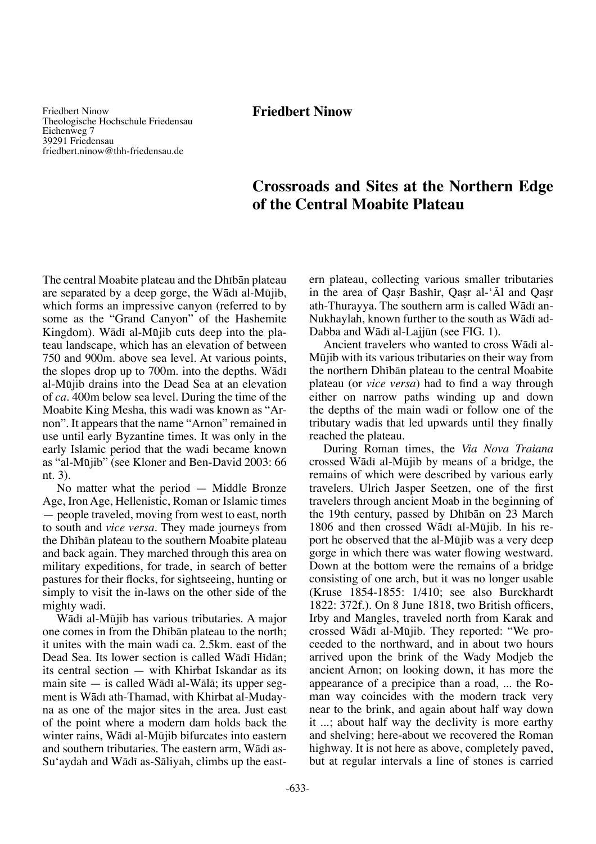Friedbert Ninow Theologische Hochschule Friedensau Eichenweg 7 39291 Friedensau friedbert.ninow@thh-friedensau.de

# **Crossroads and Sites at the Northern Edge of the Central Moabite Plateau**

The central Moabite plateau and the Dhibān plateau are separated by a deep gorge, the Wādī al-Mūjib, which forms an impressive canyon (referred to by some as the "Grand Canyon" of the Hashemite Kingdom). Wādī al-Mūjib cuts deep into the plateau landscape, which has an elevation of between 750 and 900m. above sea level. At various points, the slopes drop up to 700m. into the depths. Wādī al-Møjib drains into the Dead Sea at an elevation of *ca*. 400m below sea level. During the time of the Moabite King Mesha, this wadi was known as "Arnon". It appears that the name "Arnon" remained in use until early Byzantine times. It was only in the early Islamic period that the wadi became known as "al-Møjib" (see Kloner and Ben-David 2003: 66 nt. 3).

No matter what the period — Middle Bronze Age, Iron Age, Hellenistic, Roman or Islamic times — people traveled, moving from west to east, north to south and *vice versa*. They made journeys from the Dhibān plateau to the southern Moabite plateau and back again. They marched through this area on military expeditions, for trade, in search of better pastures for their flocks, for sightseeing, hunting or simply to visit the in-laws on the other side of the mighty wadi.

Wādī al-Mūjib has various tributaries. A major one comes in from the Dhibān plateau to the north; it unites with the main wadi ca. 2.5km. east of the Dead Sea. Its lower section is called Wādī Hīdān; its central section — with Khirbat Iskandar as its main site — is called Wādī al-Wālā; its upper segment is Wādī ath-Thamad, with Khirbat al-Mudayna as one of the major sites in the area. Just east of the point where a modern dam holds back the winter rains, Wādī al-Mūjib bifurcates into eastern and southern tributaries. The eastern arm, Wādī as-Su'aydah and Wādī as-Sāliyah, climbs up the eastern plateau, collecting various smaller tributaries in the area of Oasr Bashir, Oasr al-'Al and Oasr ath-Thurayya. The southern arm is called Wādī an-Nukhaylah, known further to the south as Wādī ad-Dabba and Wādī al-Lajjūn (see FIG. 1).

Ancient travelers who wanted to cross Wādī al-Møjib with its various tributaries on their way from the northern Dhibān plateau to the central Moabite plateau (or *vice versa*) had to find a way through either on narrow paths winding up and down the depths of the main wadi or follow one of the tributary wadis that led upwards until they finally reached the plateau.

During Roman times, the *Via Nova Traiana* crossed Wādī al-Mūjib by means of a bridge, the remains of which were described by various early travelers. Ulrich Jasper Seetzen, one of the first travelers through ancient Moab in the beginning of the 19th century, passed by Dhibān on 23 March 1806 and then crossed Wādī al-Mūjib. In his report he observed that the al-Mūjib was a very deep gorge in which there was water flowing westward. Down at the bottom were the remains of a bridge consisting of one arch, but it was no longer usable (Kruse 1854-1855: 1/410; see also Burckhardt 1822: 372f.). On 8 June 1818, two British officers, Irby and Mangles, traveled north from Karak and crossed Wādī al-Mūjib. They reported: "We proceeded to the northward, and in about two hours arrived upon the brink of the Wady Modjeb the ancient Arnon; on looking down, it has more the appearance of a precipice than a road, ... the Roman way coincides with the modern track very near to the brink, and again about half way down it ...; about half way the declivity is more earthy and shelving; here-about we recovered the Roman highway. It is not here as above, completely paved, but at regular intervals a line of stones is carried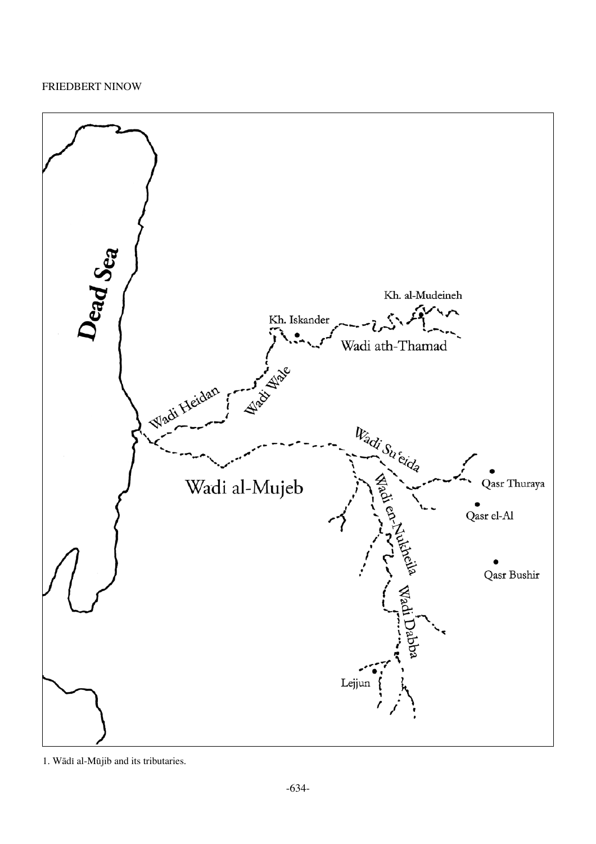

1. Wādī al-Mūjib and its tributaries.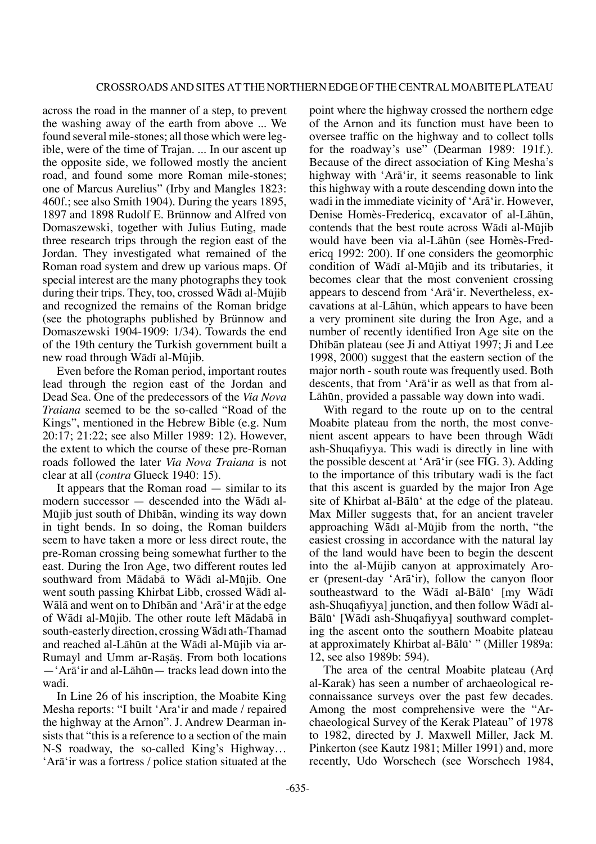across the road in the manner of a step, to prevent the washing away of the earth from above ... We found several mile-stones; all those which were legible, were of the time of Trajan. ... In our ascent up the opposite side, we followed mostly the ancient road, and found some more Roman mile-stones; one of Marcus Aurelius" (Irby and Mangles 1823: 460f.; see also Smith 1904). During the years 1895, 1897 and 1898 Rudolf E. Brünnow and Alfred von Domaszewski, together with Julius Euting, made three research trips through the region east of the Jordan. They investigated what remained of the Roman road system and drew up various maps. Of special interest are the many photographs they took during their trips. They, too, crossed Wādī al-Mūjib and recognized the remains of the Roman bridge (see the photographs published by Brünnow and Domaszewski 1904-1909: 1/34). Towards the end of the 19th century the Turkish government built a new road through Wādī al-Mūjib.

Even before the Roman period, important routes lead through the region east of the Jordan and Dead Sea. One of the predecessors of the *Via Nova Traiana* seemed to be the so-called "Road of the Kings", mentioned in the Hebrew Bible (e.g. Num 20:17; 21:22; see also Miller 1989: 12). However, the extent to which the course of these pre-Roman roads followed the later *Via Nova Traiana* is not clear at all (*contra* Glueck 1940: 15).

It appears that the Roman road — similar to its modern successor — descended into the Wādī al-Mūjib just south of Dhībān, winding its way down in tight bends. In so doing, the Roman builders seem to have taken a more or less direct route, the pre-Roman crossing being somewhat further to the east. During the Iron Age, two different routes led southward from Mādabā to Wādī al-Mūjib. One went south passing Khirbat Libb, crossed Wādī al-Wālā and went on to Dhibān and 'Arā'ir at the edge of Wādī al-Mūjib. The other route left Mādabā in south-easterly direction, crossing Wādī ath-Thamad and reached al-Lāhūn at the Wādī al-Mūjib via ar-Rumayl and Umm ar-Raßåß. From both locations —'Arå'ir and al-Låhøn— tracks lead down into the wadi.

In Line 26 of his inscription, the Moabite King Mesha reports: "I built 'Ara'ir and made / repaired the highway at the Arnon". J. Andrew Dearman insists that "this is a reference to a section of the main N-S roadway, the so-called King's Highway… 'Arå'ir was a fortress / police station situated at the point where the highway crossed the northern edge of the Arnon and its function must have been to oversee traffic on the highway and to collect tolls for the roadway's use" (Dearman 1989: 191f.). Because of the direct association of King Mesha's highway with 'Arå'ir, it seems reasonable to link this highway with a route descending down into the wadi in the immediate vicinity of 'Arå'ir. However, Denise Homès-Fredericq, excavator of al-Lāhūn, contends that the best route across W $\bar{a}$ di al-Mūjib would have been via al-Låhøn (see Homès-Fredericq 1992: 200). If one considers the geomorphic condition of Wādī al-Mūjib and its tributaries, it becomes clear that the most convenient crossing appears to descend from 'Arå'ir. Nevertheless, excavations at al-Låhøn, which appears to have been a very prominent site during the Iron Age, and a number of recently identified Iron Age site on the Dhibān plateau (see Ji and Attiyat 1997; Ji and Lee 1998, 2000) suggest that the eastern section of the major north - south route was frequently used. Both descents, that from 'Arå'ir as well as that from al-Låhøn, provided a passable way down into wadi.

With regard to the route up on to the central Moabite plateau from the north, the most convenient ascent appears to have been through Wādī ash-Shuqafiyya. This wadi is directly in line with the possible descent at 'Arå'ir (see FIG. 3). Adding to the importance of this tributary wadi is the fact that this ascent is guarded by the major Iron Age site of Khirbat al-Bålø' at the edge of the plateau. Max Miller suggests that, for an ancient traveler approaching Wādī al-Mūjib from the north, "the easiest crossing in accordance with the natural lay of the land would have been to begin the descent into the al-Møjib canyon at approximately Aroer (present-day 'Arå'ir), follow the canyon floor southeastward to the Wādī al-Bālū' [my Wādī ash-Shuqafiyya] junction, and then follow Wādī al-Bālū' [Wādī ash-Shuqafiyya] southward completing the ascent onto the southern Moabite plateau at approximately Khirbat al-Bålø' " (Miller 1989a: 12, see also 1989b: 594).

The area of the central Moabite plateau (Ar∂ al-Karak) has seen a number of archaeological reconnaissance surveys over the past few decades. Among the most comprehensive were the "Archaeological Survey of the Kerak Plateau" of 1978 to 1982, directed by J. Maxwell Miller, Jack M. Pinkerton (see Kautz 1981; Miller 1991) and, more recently, Udo Worschech (see Worschech 1984,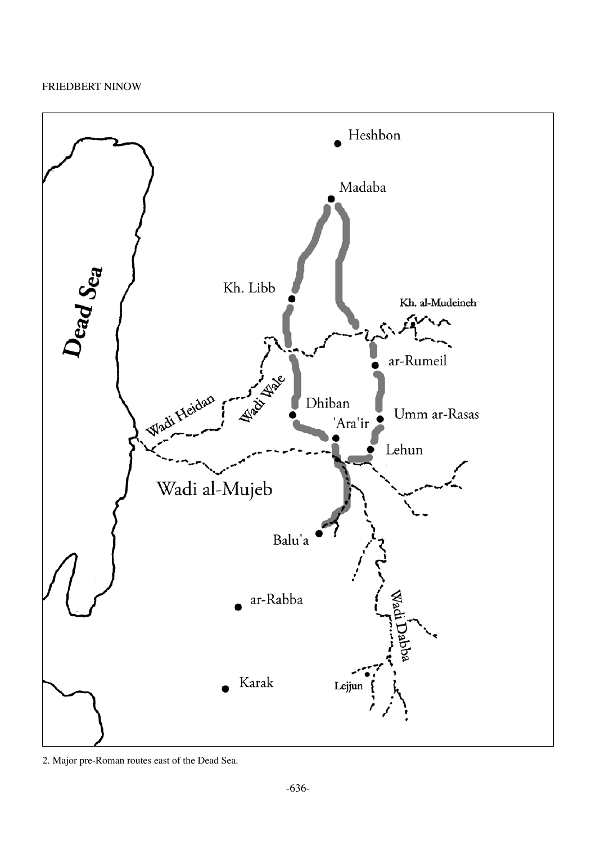

2. Major pre-Roman routes east of the Dead Sea.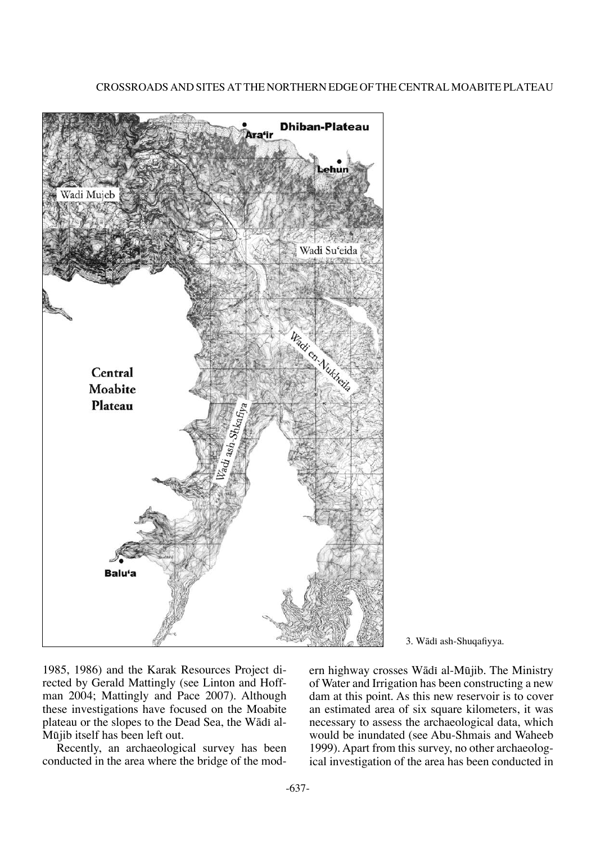

#### 3. Wādī ash-Shuqafiyya.

1985, 1986) and the Karak Resources Project directed by Gerald Mattingly (see Linton and Hoffman 2004; Mattingly and Pace 2007). Although these investigations have focused on the Moabite plateau or the slopes to the Dead Sea, the Wādī al-Møjib itself has been left out.

Recently, an archaeological survey has been conducted in the area where the bridge of the modern highway crosses Wādī al-Mūjib. The Ministry of Water and Irrigation has been constructing a new dam at this point. As this new reservoir is to cover an estimated area of six square kilometers, it was necessary to assess the archaeological data, which would be inundated (see Abu-Shmais and Waheeb 1999). Apart from this survey, no other archaeological investigation of the area has been conducted in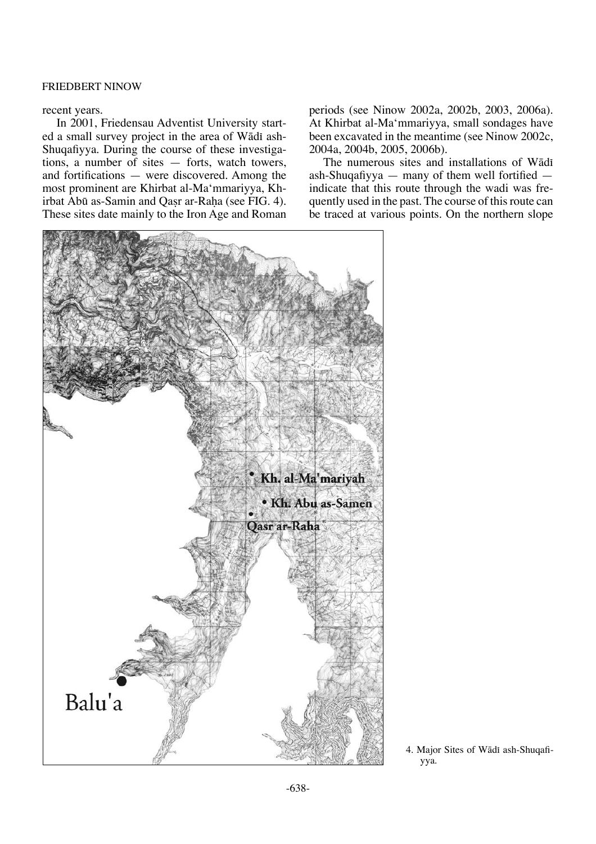#### recent years.

In 2001, Friedensau Adventist University started a small survey project in the area of Wādī ash-Shuqafiyya. During the course of these investigations, a number of sites — forts, watch towers, and fortifications — were discovered. Among the most prominent are Khirbat al-Ma'mmariyya, Khirbat Abū as-Samin and Qasr ar-Raha (see FIG. 4). These sites date mainly to the Iron Age and Roman periods (see Ninow 2002a, 2002b, 2003, 2006a). At Khirbat al-Ma'mmariyya, small sondages have been excavated in the meantime (see Ninow 2002c, 2004a, 2004b, 2005, 2006b).

The numerous sites and installations of Wādī ash-Shuqafiyya — many of them well fortified indicate that this route through the wadi was frequently used in the past. The course of this route can be traced at various points. On the northern slope



<sup>4.</sup> Major Sites of Wādī ash-Shuqafiyya.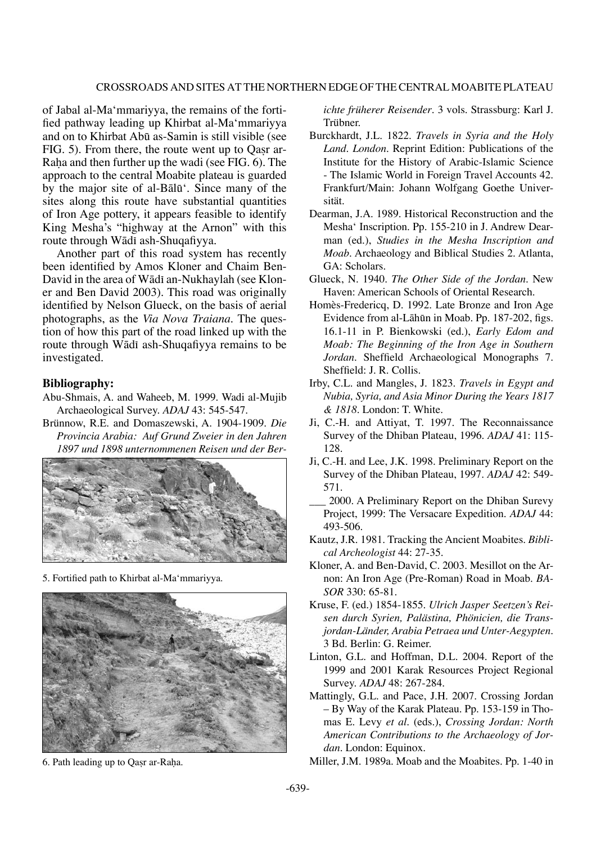#### Crossroads and Sites at the Northern Edge of the Central Moabite Plateau

of Jabal al-Ma'mmariyya, the remains of the fortified pathway leading up Khirbat al-Ma'mmariyya and on to Khirbat Abø as-Samin is still visible (see FIG. 5). From there, the route went up to Oasr ar-Raha and then further up the wadi (see FIG. 6). The approach to the central Moabite plateau is guarded by the major site of al-Bålø'. Since many of the sites along this route have substantial quantities of Iron Age pottery, it appears feasible to identify King Mesha's "highway at the Arnon" with this route through Wādī ash-Shuqafiyya.

Another part of this road system has recently been identified by Amos Kloner and Chaim Ben-David in the area of Wādī an-Nukhaylah (see Kloner and Ben David 2003). This road was originally identified by Nelson Glueck, on the basis of aerial photographs, as the *Via Nova Traiana*. The question of how this part of the road linked up with the route through Wādī ash-Shuqafiyya remains to be investigated.

#### **Bibliography:**

- Abu-Shmais, A. and Waheeb, M. 1999. Wadi al-Mujib Archaeological Survey. *ADAJ* 43: 545-547.
- Brünnow, R.E. and Domaszewski, A. 1904-1909. *Die Provincia Arabia: Auf Grund Zweier in den Jahren 1897 und 1898 unternommenen Reisen und der Ber-*



5. Fortified path to Khirbat al-Ma'mmariyya.



6. Path leading up to Qasr ar-Raha.

*ichte früherer Reisender*. 3 vols. Strassburg: Karl J. Trübner.

- Burckhardt, J.L. 1822. *Travels in Syria and the Holy Land. London*. Reprint Edition: Publications of the Institute for the History of Arabic-Islamic Science - The Islamic World in Foreign Travel Accounts 42. Frankfurt/Main: Johann Wolfgang Goethe Universität.
- Dearman, J.A. 1989. Historical Reconstruction and the Mesha' Inscription. Pp. 155-210 in J. Andrew Dearman (ed.), *Studies in the Mesha Inscription and Moab*. Archaeology and Biblical Studies 2. Atlanta, GA: Scholars.
- Glueck, N. 1940. *The Other Side of the Jordan*. New Haven: American Schools of Oriental Research.
- Homès-Fredericq, D. 1992. Late Bronze and Iron Age Evidence from al-Låhøn in Moab. Pp. 187-202, figs. 16.1-11 in P. Bienkowski (ed.), *Early Edom and Moab: The Beginning of the Iron Age in Southern Jordan*. Sheffield Archaeological Monographs 7. Sheffield: J. R. Collis.
- Irby, C.L. and Mangles, J. 1823. *Travels in Egypt and Nubia, Syria, and Asia Minor During the Years 1817 & 1818*. London: T. White.
- Ji, C.-H. and Attiyat, T. 1997. The Reconnaissance Survey of the Dhiban Plateau, 1996. *ADAJ* 41: 115- 128.
- Ji, C.-H. and Lee, J.K. 1998. Preliminary Report on the Survey of the Dhiban Plateau, 1997. *ADAJ* 42: 549- 571.
- \_\_\_ 2000. A Preliminary Report on the Dhiban Surevy Project, 1999: The Versacare Expedition. *ADAJ* 44: 493-506.
- Kautz, J.R. 1981. Tracking the Ancient Moabites. *Biblical Archeologist* 44: 27-35.
- Kloner, A. and Ben-David, C. 2003. Mesillot on the Arnon: An Iron Age (Pre-Roman) Road in Moab. *BA-SOR* 330: 65-81.
- Kruse, F. (ed.) 1854-1855. *Ulrich Jasper Seetzen's Reisen durch Syrien, Palästina, Phönicien, die Transjordan-Länder, Arabia Petraea und Unter-Aegypten*. 3 Bd. Berlin: G. Reimer.
- Linton, G.L. and Hoffman, D.L. 2004. Report of the 1999 and 2001 Karak Resources Project Regional Survey. *ADAJ* 48: 267-284.
- Mattingly, G.L. and Pace, J.H. 2007. Crossing Jordan – By Way of the Karak Plateau. Pp. 153-159 in Thomas E. Levy *et al.* (eds.), *Crossing Jordan: North American Contributions to the Archaeology of Jordan*. London: Equinox.
- Miller, J.M. 1989a. Moab and the Moabites. Pp. 1-40 in